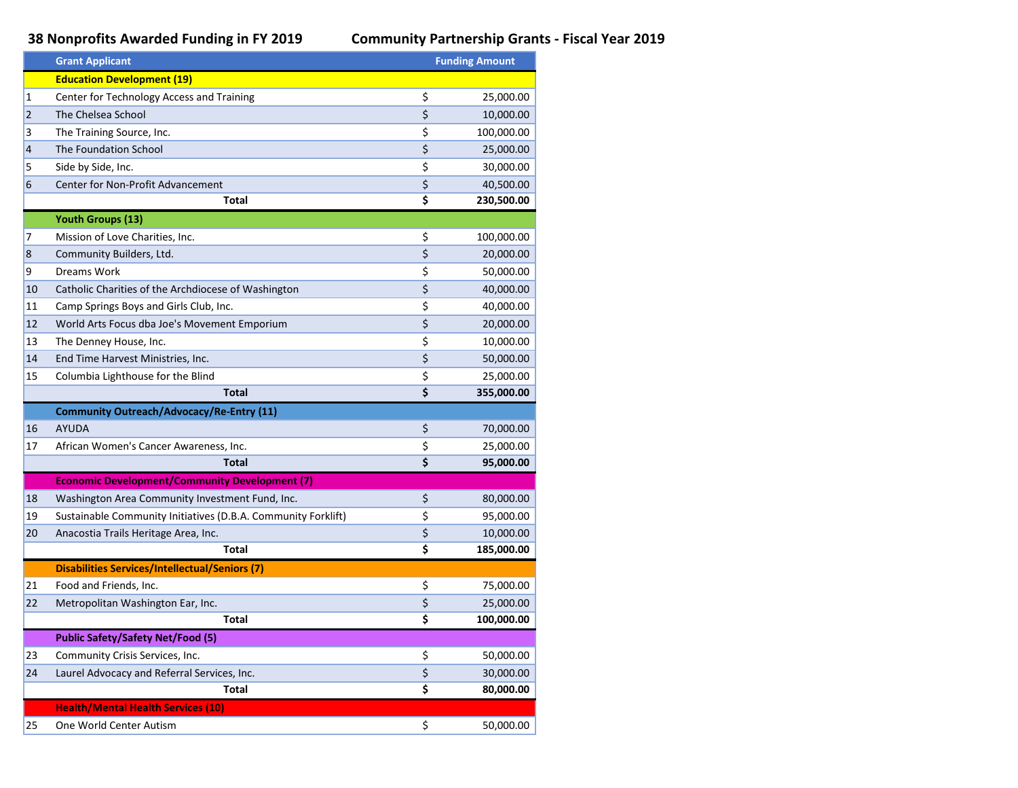## **38 Nonprofits Awarded Funding in FY 2019 Community Partnership Grants - Fiscal Year 2019**

|    | <b>Grant Applicant</b>                                        | <b>Funding Amount</b> |  |
|----|---------------------------------------------------------------|-----------------------|--|
|    | <b>Education Development (19)</b>                             |                       |  |
| 1  | Center for Technology Access and Training                     | \$<br>25,000.00       |  |
| 2  | The Chelsea School                                            | \$<br>10,000.00       |  |
| 3  | The Training Source, Inc.                                     | \$<br>100,000.00      |  |
| 4  | The Foundation School                                         | \$<br>25,000.00       |  |
| 5  | Side by Side, Inc.                                            | \$<br>30,000.00       |  |
| 6  | Center for Non-Profit Advancement                             | \$<br>40,500.00       |  |
|    | Total                                                         | \$<br>230,500.00      |  |
|    | <b>Youth Groups (13)</b>                                      |                       |  |
| 7  | Mission of Love Charities, Inc.                               | \$<br>100,000.00      |  |
| 8  | Community Builders, Ltd.                                      | \$<br>20,000.00       |  |
| 9  | Dreams Work                                                   | \$<br>50,000.00       |  |
| 10 | Catholic Charities of the Archdiocese of Washington           | \$<br>40,000.00       |  |
| 11 | Camp Springs Boys and Girls Club, Inc.                        | \$<br>40,000.00       |  |
| 12 | World Arts Focus dba Joe's Movement Emporium                  | \$<br>20,000.00       |  |
| 13 | The Denney House, Inc.                                        | \$<br>10,000.00       |  |
| 14 | End Time Harvest Ministries, Inc.                             | \$<br>50,000.00       |  |
| 15 | Columbia Lighthouse for the Blind                             | \$<br>25,000.00       |  |
|    | <b>Total</b>                                                  | \$<br>355,000.00      |  |
|    | Community Outreach/Advocacy/Re-Entry (11)                     |                       |  |
| 16 | <b>AYUDA</b>                                                  | \$<br>70,000.00       |  |
| 17 | African Women's Cancer Awareness, Inc.                        | \$<br>25,000.00       |  |
|    | <b>Total</b>                                                  | \$<br>95,000.00       |  |
|    | <b>Economic Development/Community Development (7)</b>         |                       |  |
| 18 | Washington Area Community Investment Fund, Inc.               | \$<br>80,000.00       |  |
| 19 | Sustainable Community Initiatives (D.B.A. Community Forklift) | \$<br>95,000.00       |  |
| 20 | Anacostia Trails Heritage Area, Inc.                          | \$<br>10,000.00       |  |
|    | Total                                                         | \$<br>185,000.00      |  |
|    | <b>Disabilities Services/Intellectual/Seniors (7)</b>         |                       |  |
| 21 | Food and Friends, Inc.                                        | \$<br>75,000.00       |  |
| 22 | Metropolitan Washington Ear, Inc.                             | \$<br>25,000.00       |  |
|    | Total                                                         | \$<br>100,000.00      |  |
|    | <b>Public Safety/Safety Net/Food (5)</b>                      |                       |  |
| 23 | Community Crisis Services, Inc.                               | \$<br>50,000.00       |  |
| 24 | Laurel Advocacy and Referral Services, Inc.                   | \$<br>30,000.00       |  |
|    | Total                                                         | \$<br>80,000.00       |  |
|    | <b>Health/Mental Health Services (10)</b>                     |                       |  |
| 25 | One World Center Autism                                       | \$<br>50,000.00       |  |